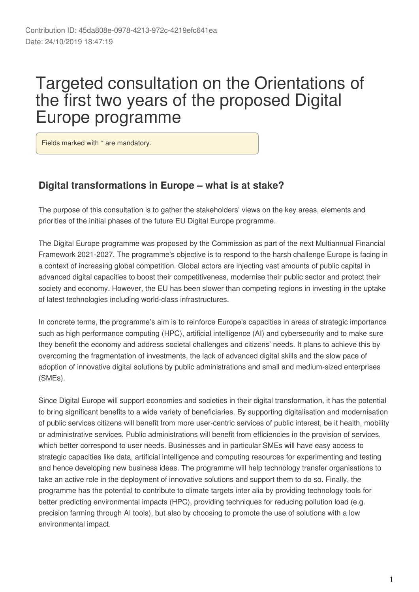# Targeted consultation on the Orientations of the first two years of the proposed Digital Europe programme

Fields marked with \* are mandatory.

### **Digital transformations in Europe – what is at stake?**

The purpose of this consultation is to gather the stakeholders' views on the key areas, elements and priorities of the initial phases of the future EU Digital Europe programme.

The Digital Europe programme was proposed by the Commission as part of the next Multiannual Financial Framework 2021-2027. The programme's objective is to respond to the harsh challenge Europe is facing in a context of increasing global competition. Global actors are injecting vast amounts of public capital in advanced digital capacities to boost their competitiveness, modernise their public sector and protect their society and economy. However, the EU has been slower than competing regions in investing in the uptake of latest technologies including world-class infrastructures.

In concrete terms, the programme's aim is to reinforce Europe's capacities in areas of strategic importance such as high performance computing (HPC), artificial intelligence (AI) and cybersecurity and to make sure they benefit the economy and address societal challenges and citizens' needs. It plans to achieve this by overcoming the fragmentation of investments, the lack of advanced digital skills and the slow pace of adoption of innovative digital solutions by public administrations and small and medium-sized enterprises (SMEs).

Since Digital Europe will support economies and societies in their digital transformation, it has the potential to bring significant benefits to a wide variety of beneficiaries. By supporting digitalisation and modernisation of public services citizens will benefit from more user-centric services of public interest, be it health, mobility or administrative services. Public administrations will benefit from efficiencies in the provision of services, which better correspond to user needs. Businesses and in particular SMEs will have easy access to strategic capacities like data, artificial intelligence and computing resources for experimenting and testing and hence developing new business ideas. The programme will help technology transfer organisations to take an active role in the deployment of innovative solutions and support them to do so. Finally, the programme has the potential to contribute to climate targets inter alia by providing technology tools for better predicting environmental impacts (HPC), providing techniques for reducing pollution load (e.g. precision farming through AI tools), but also by choosing to promote the use of solutions with a low environmental impact.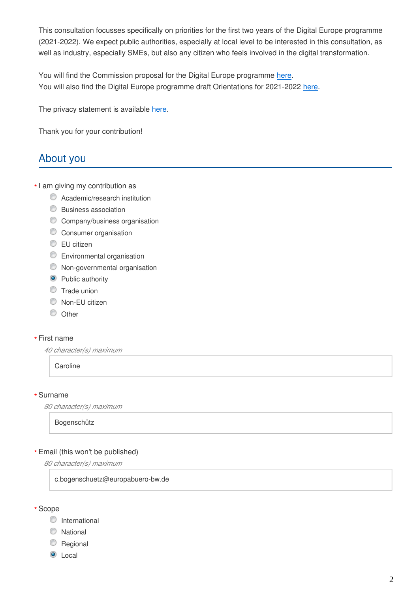This consultation focusses specifically on priorities for the first two years of the Digital Europe programme (2021-2022). We expect public authorities, especially at local level to be interested in this consultation, as well as industry, especially SMEs, but also any citizen who feels involved in the digital transformation.

You will find the Commission proposal for the Digital Europe programme [here](https://eur-lex.europa.eu/legal-content/EN/TXT/?uri=COM%3A2018%3A434%3AFIN). You will also find the Digital Europe programme draft Orientations for 2021-2022 [here.](https://ec.europa.eu/newsroom/dae/document.cfm?doc_id=61102)

The privacy statement is available [here.](https://ec.europa.eu/newsroom/dae/document.cfm?doc_id=61533)

Thank you for your contribution!

# About you

- I am giving my contribution as **\***
	- **C** Academic/research institution
	- Business association
	- C Company/business organisation
	- Consumer organisation
	- **■**EU citizen
	- **Environmental organisation**
	- Non-governmental organisation
	- **O** Public authority
	- **Trade union**
	- Non-EU citizen
	- O Other

#### First name **\***

*40 character(s) maximum*

**Caroline** 

#### Surname **\***

*80 character(s) maximum*

Bogenschütz

#### Email (this won't be published) **\***

*80 character(s) maximum*

c.bogenschuetz@europabuero-bw.de

Scope **\***

- **O** International
- C National
- C Regional
- **O** Local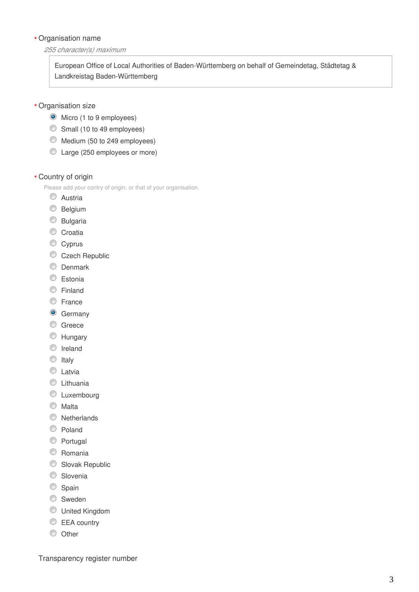#### Organisation name **\***

#### *255 character(s) maximum*

European Office of Local Authorities of Baden-Württemberg on behalf of Gemeindetag, Städtetag & Landkreistag Baden-Württemberg

- Organisation size **\***
	- $\bullet$  Micro (1 to 9 employees)
	- Small (10 to 49 employees)
	- Medium (50 to 249 employees)
	- Large (250 employees or more)

#### Country of origin **\***

Please add your contry of origin, or that of your organisation.

- C Austria
- **Belgium**
- **Bulgaria**
- Croatia
- Cyprus
- Czech Republic
- **O** Denmark
- C Estonia
- **C** Finland
- C France
- **G** Germany
- C Greece
- **Hungary**
- **O** Ireland
- $\circ$  Italy
- **C** Latvia
- **C** Lithuania
- **C** Luxembourg
- **Malta**
- **Netherlands**
- C Poland
- **Portugal**
- C Romania
- Slovak Republic
- C Slovenia
- Spain
- **Sweden**
- United Kingdom
- EEA country
- O Other

Transparency register number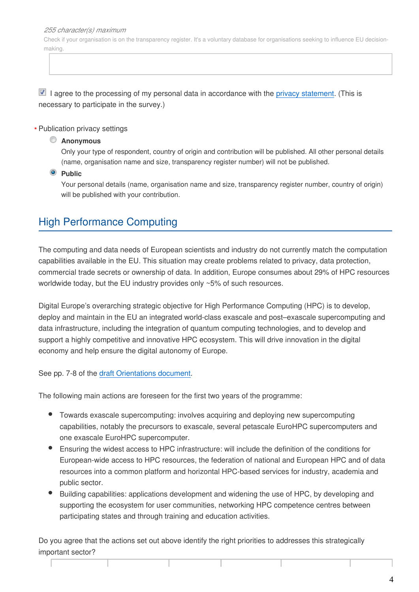*255 character(s) maximum*

Check if your organisation is on the transparency register. It's a voluntary database for organisations seeking to influence EU decisionmaking.

 $\blacksquare$  I agree to the processing of my personal data in accordance with the [privacy statement.](https://ec.europa.eu/newsroom/dae/document.cfm?doc_id=61533) (This is necessary to participate in the survey.)

#### Publication privacy settings **\***

#### **Anonymous**

Only your type of respondent, country of origin and contribution will be published. All other personal details (name, organisation name and size, transparency register number) will not be published.

#### **Public**

Your personal details (name, organisation name and size, transparency register number, country of origin) will be published with your contribution.

### High Performance Computing

The computing and data needs of European scientists and industry do not currently match the computation capabilities available in the EU. This situation may create problems related to privacy, data protection, commercial trade secrets or ownership of data. In addition, Europe consumes about 29% of HPC resources worldwide today, but the EU industry provides only ~5% of such resources.

Digital Europe's overarching strategic objective for High Performance Computing (HPC) is to develop, deploy and maintain in the EU an integrated world-class exascale and post–exascale supercomputing and data infrastructure, including the integration of quantum computing technologies, and to develop and support a highly competitive and innovative HPC ecosystem. This will drive innovation in the digital economy and help ensure the digital autonomy of Europe.

See pp. 7-8 of the [draft Orientations document.](https://ec.europa.eu/newsroom/dae/document.cfm?doc_id=61102)

The following main actions are foreseen for the first two years of the programme:

- Towards exascale supercomputing: involves acquiring and deploying new supercomputing capabilities, notably the precursors to exascale, several petascale EuroHPC supercomputers and one exascale EuroHPC supercomputer.
- Ensuring the widest access to HPC infrastructure: will include the definition of the conditions for European-wide access to HPC resources, the federation of national and European HPC and of data resources into a common platform and horizontal HPC-based services for industry, academia and public sector.
- Building capabilities: applications development and widening the use of HPC, by developing and supporting the ecosystem for user communities, networking HPC competence centres between participating states and through training and education activities.

Do you agree that the actions set out above identify the right priorities to addresses this strategically important sector?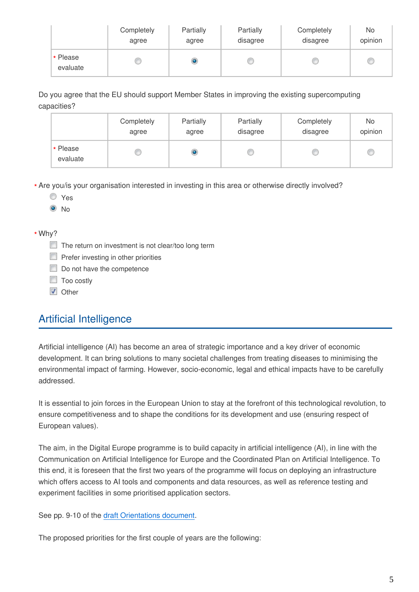|                      | Completely | Partially | Partially | Completely | No      |
|----------------------|------------|-----------|-----------|------------|---------|
|                      | agree      | agree     | disagree  | disagree   | opinion |
| * Please<br>evaluate |            |           |           |            | C       |

Do you agree that the EU should support Member States in improving the existing supercomputing capacities?

|                      | Completely | Partially | Partially | Completely | No      |
|----------------------|------------|-----------|-----------|------------|---------|
|                      | agree      | agree     | disagree  | disagree   | opinion |
| * Please<br>evaluate |            |           |           |            | c       |

Are you/is your organisation interested in investing in this area or otherwise directly involved? **\***

- Yes
- $\odot$  No

#### Why? **\***

- The return on investment is not clear/too long term
- $\Box$  Prefer investing in other priorities
- Do not have the competence
- **Too costly**
- **V** Other

# Artificial Intelligence

Artificial intelligence (AI) has become an area of strategic importance and a key driver of economic development. It can bring solutions to many societal challenges from treating diseases to minimising the environmental impact of farming. However, socio-economic, legal and ethical impacts have to be carefully addressed.

It is essential to join forces in the European Union to stay at the forefront of this technological revolution, to ensure competitiveness and to shape the conditions for its development and use (ensuring respect of European values).

The aim, in the Digital Europe programme is to build capacity in artificial intelligence (AI), in line with the Communication on Artificial Intelligence for Europe and the Coordinated Plan on Artificial Intelligence. To this end, it is foreseen that the first two years of the programme will focus on deploying an infrastructure which offers access to AI tools and components and data resources, as well as reference testing and experiment facilities in some prioritised application sectors.

See pp. 9-10 of the [draft Orientations document.](https://ec.europa.eu/newsroom/dae/document.cfm?doc_id=61102)

The proposed priorities for the first couple of years are the following: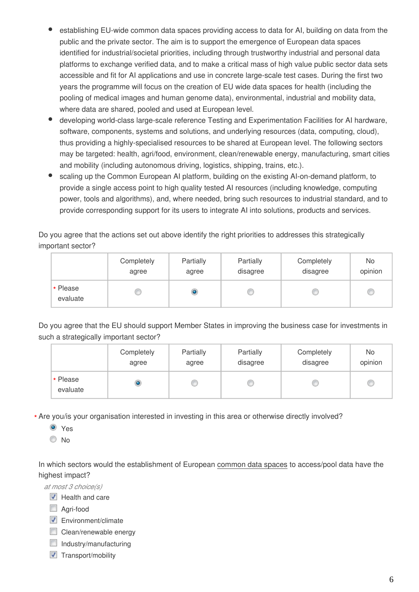- establishing EU-wide common data spaces providing access to data for AI, building on data from the public and the private sector. The aim is to support the emergence of European data spaces identified for industrial/societal priorities, including through trustworthy industrial and personal data platforms to exchange verified data, and to make a critical mass of high value public sector data sets accessible and fit for AI applications and use in concrete large-scale test cases. During the first two years the programme will focus on the creation of EU wide data spaces for health (including the pooling of medical images and human genome data), environmental, industrial and mobility data, where data are shared, pooled and used at European level.
- developing world-class large-scale reference Testing and Experimentation Facilities for AI hardware, software, components, systems and solutions, and underlying resources (data, computing, cloud), thus providing a highly-specialised resources to be shared at European level. The following sectors may be targeted: health, agri/food, environment, clean/renewable energy, manufacturing, smart cities and mobility (including autonomous driving, logistics, shipping, trains, etc.).
- scaling up the Common European AI platform, building on the existing AI-on-demand platform, to provide a single access point to high quality tested AI resources (including knowledge, computing power, tools and algorithms), and, where needed, bring such resources to industrial standard, and to provide corresponding support for its users to integrate AI into solutions, products and services.

Do you agree that the actions set out above identify the right priorities to addresses this strategically important sector?

|                      | Completely | Partially | Partially | Completely | No      |
|----------------------|------------|-----------|-----------|------------|---------|
|                      | agree      | agree     | disagree  | disagree   | opinion |
| * Please<br>evaluate |            |           |           |            | U       |

Do you agree that the EU should support Member States in improving the business case for investments in such a strategically important sector?

|                      | Completely | Partially | Partially | Completely | No      |
|----------------------|------------|-----------|-----------|------------|---------|
|                      | agree      | agree     | disagree  | disagree   | opinion |
| * Please<br>evaluate |            |           |           |            | C       |

Are you/is your organisation interested in investing in this area or otherwise directly involved? **\***

<sup>O</sup> Yes

No

In which sectors would the establishment of European common data spaces to access/pool data have the highest impact?

*at most 3 choice(s)*

 $\blacksquare$  Health and care

- Agri-food
- $\nabla$  Environment/climate
- $\Box$  Clean/renewable energy
- $\Box$  Industry/manufacturing
- $\triangledown$  Transport/mobility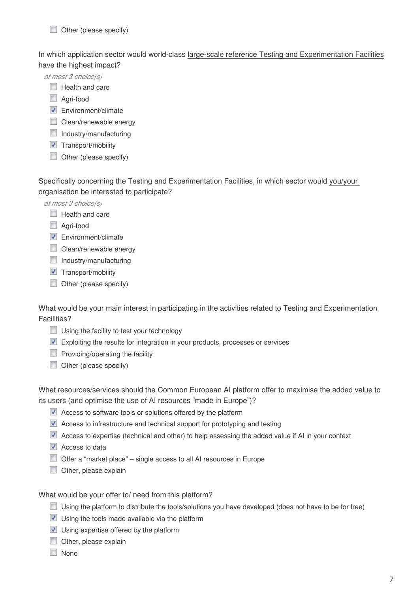In which application sector would world-class large-scale reference Testing and Experimentation Facilities have the highest impact?

*at most 3 choice(s)*

- $\Box$  Health and care
- Agri-food
- $\triangledown$  Environment/climate
- Clean/renewable energy
- $\Box$  Industry/manufacturing
- $\triangledown$  Transport/mobility
- $\Box$  Other (please specify)

Specifically concerning the Testing and Experimentation Facilities, in which sector would you/your organisation be interested to participate?

*at most 3 choice(s)*

- $\Box$  Health and care
- Agri-food
- $\nabla$  Environment/climate
- Clean/renewable energy
- $\Box$  Industry/manufacturing
- $\blacksquare$  Transport/mobility
- $\Box$  Other (please specify)

What would be your main interest in participating in the activities related to Testing and Experimentation Facilities?

- Using the facility to test your technology
- Exploiting the results for integration in your products, processes or services
- $\Box$  Providing/operating the facility
- $\Box$  Other (please specify)

What resources/services should the Common European AI platform offer to maximise the added value to its users (and optimise the use of AI resources "made in Europe")?

- Access to software tools or solutions offered by the platform
- Access to infrastructure and technical support for prototyping and testing
- Access to expertise (technical and other) to help assessing the added value if AI in your context
- $\sqrt{\phantom{a}}$  Access to data
- Offer a "market place" single access to all AI resources in Europe
- $\Box$  Other, please explain

What would be your offer to/ need from this platform?

- Using the platform to distribute the tools/solutions you have developed (does not have to be for free)
- $\blacksquare$  Using the tools made available via the platform
- $\nabla$  Using expertise offered by the platform
- Other, please explain
- None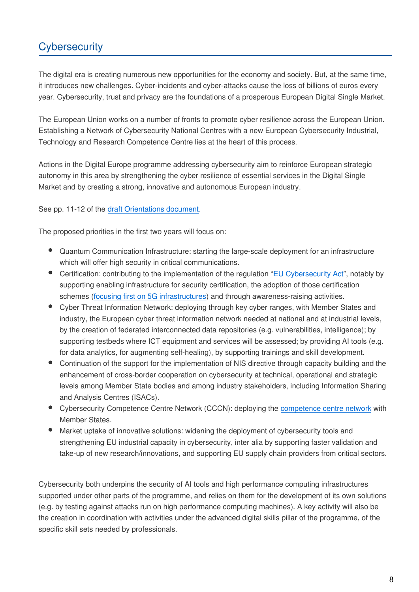# **Cybersecurity**

The digital era is creating numerous new opportunities for the economy and society. But, at the same time, it introduces new challenges. Cyber-incidents and cyber-attacks cause the loss of billions of euros every year. Cybersecurity, trust and privacy are the foundations of a prosperous European Digital Single Market.

The European Union works on a number of fronts to promote cyber resilience across the European Union. Establishing a Network of Cybersecurity National Centres with a new European Cybersecurity Industrial, Technology and Research Competence Centre lies at the heart of this process.

Actions in the Digital Europe programme addressing cybersecurity aim to reinforce European strategic autonomy in this area by strengthening the cyber resilience of essential services in the Digital Single Market and by creating a strong, innovative and autonomous European industry.

See pp. 11-12 of the [draft Orientations document.](https://ec.europa.eu/newsroom/dae/document.cfm?doc_id=61102)

The proposed priorities in the first two years will focus on:

- Quantum Communication Infrastructure: starting the large-scale deployment for an infrastructure which will offer high security in critical communications.
- Certification: contributing to the implementation of the regulation ["EU Cybersecurity Act](https://eur-lex.europa.eu/eli/reg/2019/881/oj)", notably by supporting enabling infrastructure for security certification, the adoption of those certification schemes [\(focusing first on 5G infrastructures](https://www.droit-technologie.org/wp-content/uploads/2019/03/reco.pdf)) and through awareness-raising activities.
- Cyber Threat Information Network: deploying through key cyber ranges, with Member States and industry, the European cyber threat information network needed at national and at industrial levels, by the creation of federated interconnected data repositories (e.g. vulnerabilities, intelligence); by supporting testbeds where ICT equipment and services will be assessed; by providing AI tools (e.g. for data analytics, for augmenting self-healing), by supporting trainings and skill development.
- Continuation of the support for the implementation of NIS directive through capacity building and the enhancement of cross-border cooperation on cybersecurity at technical, operational and strategic levels among Member State bodies and among industry stakeholders, including Information Sharing and Analysis Centres (ISACs).
- Cybersecurity Competence Centre Network (CCCN): deploying the [competence centre network](https://ec.europa.eu/commission/sites/beta-political/files/soteu2018-cybersecurity-centres-regulation-630_en.pdf) with Member States.
- Market uptake of innovative solutions: widening the deployment of cybersecurity tools and strengthening EU industrial capacity in cybersecurity, inter alia by supporting faster validation and take-up of new research/innovations, and supporting EU supply chain providers from critical sectors.

Cybersecurity both underpins the security of AI tools and high performance computing infrastructures supported under other parts of the programme, and relies on them for the development of its own solutions (e.g. by testing against attacks run on high performance computing machines). A key activity will also be the creation in coordination with activities under the advanced digital skills pillar of the programme, of the specific skill sets needed by professionals.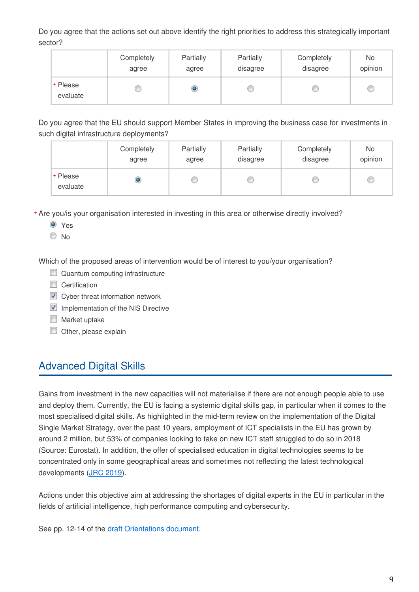Do you agree that the actions set out above identify the right priorities to address this strategically important sector?

|                      | Completely | Partially | Partially | Completely | No      |
|----------------------|------------|-----------|-----------|------------|---------|
|                      | agree      | agree     | disagree  | disagree   | opinion |
| * Please<br>evaluate |            | ۱         |           |            | C       |

Do you agree that the EU should support Member States in improving the business case for investments in such digital infrastructure deployments?

|                      | Completely | Partially | Partially | Completely | No      |
|----------------------|------------|-----------|-----------|------------|---------|
|                      | agree      | agree     | disagree  | disagree   | opinion |
| * Please<br>evaluate |            |           |           |            | C       |

Are you/is your organisation interested in investing in this area or otherwise directly involved? **\***

**O** Yes

O No

Which of the proposed areas of intervention would be of interest to you/your organisation?

- Quantum computing infrastructure
- Certification
- **V** Cyber threat information network
- $\blacksquare$  Implementation of the NIS Directive
- **Market uptake**
- $\Box$  Other, please explain

### **Advanced Digital Skills**

Gains from investment in the new capacities will not materialise if there are not enough people able to use and deploy them. Currently, the EU is facing a systemic digital skills gap, in particular when it comes to the most specialised digital skills. As highlighted in the mid-term review on the implementation of the Digital Single Market Strategy, over the past 10 years, employment of ICT specialists in the EU has grown by around 2 million, but 53% of companies looking to take on new ICT staff struggled to do so in 2018 (Source: Eurostat). In addition, the offer of specialised education in digital technologies seems to be concentrated only in some geographical areas and sometimes not reflecting the latest technological developments ([JRC 2019](https://publications.europa.eu/en/publication-detail/-/publication/5804d5e5-4b8b-11e9-a8ed-01aa75ed71a1/language-en/format-PDF/source-96616385)).

Actions under this objective aim at addressing the shortages of digital experts in the EU in particular in the fields of artificial intelligence, high performance computing and cybersecurity.

See pp. 12-14 of the [draft Orientations document.](https://ec.europa.eu/newsroom/dae/document.cfm?doc_id=61102)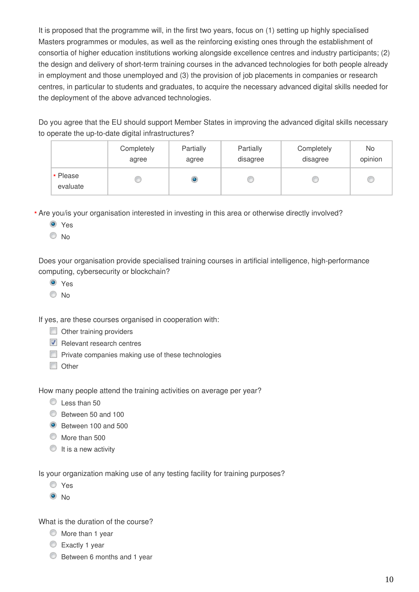It is proposed that the programme will, in the first two years, focus on (1) setting up highly specialised Masters programmes or modules, as well as the reinforcing existing ones through the establishment of consortia of higher education institutions working alongside excellence centres and industry participants; (2) the design and delivery of short-term training courses in the advanced technologies for both people already in employment and those unemployed and (3) the provision of job placements in companies or research centres, in particular to students and graduates, to acquire the necessary advanced digital skills needed for the deployment of the above advanced technologies.

Do you agree that the EU should support Member States in improving the advanced digital skills necessary to operate the up-to-date digital infrastructures?

|                      | Completely | Partially | Partially | Completely | No      |
|----------------------|------------|-----------|-----------|------------|---------|
|                      | agree      | agree     | disagree  | disagree   | opinion |
| * Please<br>evaluate |            |           |           |            | C       |

Are you/is your organisation interested in investing in this area or otherwise directly involved? **\***

- Yes
- © No

Does your organisation provide specialised training courses in artificial intelligence, high-performance computing, cybersecurity or blockchain?

- **O** Yes
- © No

If yes, are these courses organised in cooperation with:

- Other training providers
- $\triangledown$  Relevant research centres
- $\Box$  Private companies making use of these technologies
- **Other**

How many people attend the training activities on average per year?

- Less than 50
- Between 50 and 100
- Between 100 and 500
- $\bullet$  More than 500
- $\circ$  It is a new activity

Is your organization making use of any testing facility for training purposes?

- Yes
- $\odot$  No

What is the duration of the course?

- $\circledcirc$  More than 1 year
- Exactly 1 year
- **Between 6 months and 1 year**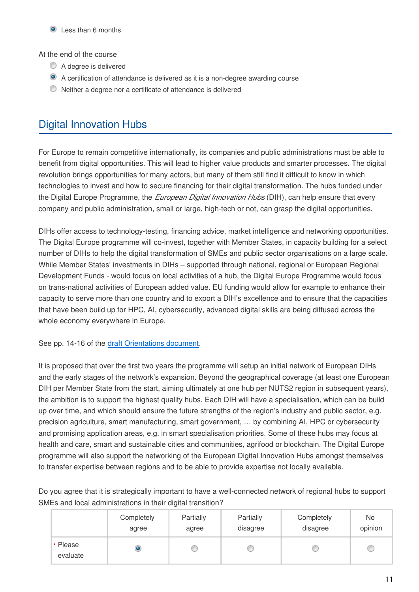#### At the end of the course

- A degree is delivered
- A certification of attendance is delivered as it is a non-degree awarding course
- Neither a degree nor a certificate of attendance is delivered

# Digital Innovation Hubs

For Europe to remain competitive internationally, its companies and public administrations must be able to benefit from digital opportunities. This will lead to higher value products and smarter processes. The digital revolution brings opportunities for many actors, but many of them still find it difficult to know in which technologies to invest and how to secure financing for their digital transformation. The hubs funded under the Digital Europe Programme, the *European Digital Innovation Hubs* (DIH), can help ensure that every company and public administration, small or large, high-tech or not, can grasp the digital opportunities.

DIHs offer access to technology-testing, financing advice, market intelligence and networking opportunities. The Digital Europe programme will co-invest, together with Member States, in capacity building for a select number of DIHs to help the digital transformation of SMEs and public sector organisations on a large scale. While Member States' investments in DIHs – supported through national, regional or European Regional Development Funds - would focus on local activities of a hub, the Digital Europe Programme would focus on trans-national activities of European added value. EU funding would allow for example to enhance their capacity to serve more than one country and to export a DIH's excellence and to ensure that the capacities that have been build up for HPC, AI, cybersecurity, advanced digital skills are being diffused across the whole economy everywhere in Europe.

See pp. 14-16 of the [draft Orientations document.](https://ec.europa.eu/newsroom/dae/document.cfm?doc_id=61102)

It is proposed that over the first two years the programme will setup an initial network of European DIHs and the early stages of the network's expansion. Beyond the geographical coverage (at least one European DIH per Member State from the start, aiming ultimately at one hub per NUTS2 region in subsequent years), the ambition is to support the highest quality hubs. Each DIH will have a specialisation, which can be build up over time, and which should ensure the future strengths of the region's industry and public sector, e.g. precision agriculture, smart manufacturing, smart government, … by combining AI, HPC or cybersecurity and promising application areas, e.g. in smart specialisation priorities. Some of these hubs may focus at health and care, smart and sustainable cities and communities, agrifood or blockchain. The Digital Europe programme will also support the networking of the European Digital Innovation Hubs amongst themselves to transfer expertise between regions and to be able to provide expertise not locally available.

Do you agree that it is strategically important to have a well-connected network of regional hubs to support SMEs and local administrations in their digital transition?

|                      | Completely | Partially | Partially | Completely | No      |
|----------------------|------------|-----------|-----------|------------|---------|
|                      | agree      | agree     | disagree  | disagree   | opinion |
| * Please<br>evaluate |            |           |           |            | C       |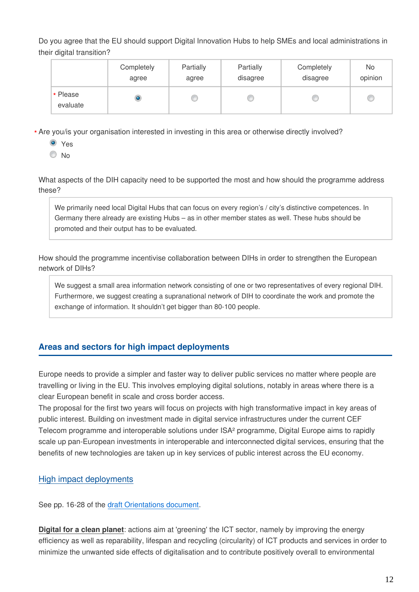Do you agree that the EU should support Digital Innovation Hubs to help SMEs and local administrations in their digital transition?

|                      | Completely | Partially | Partially | Completely | No      |
|----------------------|------------|-----------|-----------|------------|---------|
|                      | agree      | agree     | disagree  | disagree   | opinion |
| * Please<br>evaluate |            |           |           |            | C       |

Are you/is your organisation interested in investing in this area or otherwise directly involved? **\***

**O** Yes

 $\odot$  No

What aspects of the DIH capacity need to be supported the most and how should the programme address these?

We primarily need local Digital Hubs that can focus on every region's / city's distinctive competences. In Germany there already are existing Hubs – as in other member states as well. These hubs should be promoted and their output has to be evaluated.

How should the programme incentivise collaboration between DIHs in order to strengthen the European network of DIHs?

We suggest a small area information network consisting of one or two representatives of every regional DIH. Furthermore, we suggest creating a supranational network of DIH to coordinate the work and promote the exchange of information. It shouldn't get bigger than 80-100 people.

### **Areas and sectors for high impact deployments**

Europe needs to provide a simpler and faster way to deliver public services no matter where people are travelling or living in the EU. This involves employing digital solutions, notably in areas where there is a clear European benefit in scale and cross border access.

The proposal for the first two years will focus on projects with high transformative impact in key areas of public interest. Building on investment made in digital service infrastructures under the current CEF Telecom programme and interoperable solutions under ISA² programme, Digital Europe aims to rapidly scale up pan-European investments in interoperable and interconnected digital services, ensuring that the benefits of new technologies are taken up in key services of public interest across the EU economy.

### High impact deployments

See pp. 16-28 of the [draft Orientations document.](https://ec.europa.eu/newsroom/dae/document.cfm?doc_id=61102)

**Digital for a clean planet**: actions aim at 'greening' the ICT sector, namely by improving the energy efficiency as well as reparability, lifespan and recycling (circularity) of ICT products and services in order to minimize the unwanted side effects of digitalisation and to contribute positively overall to environmental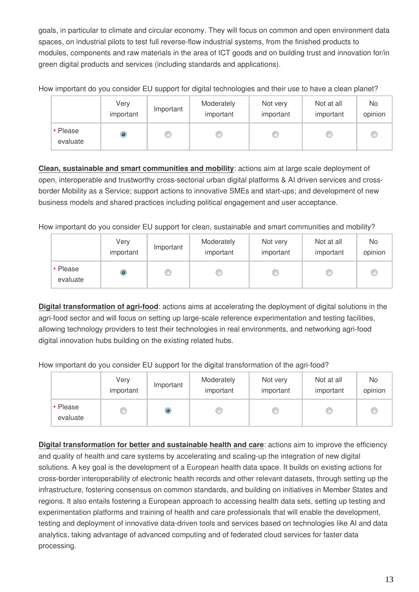goals, in particular to climate and circular economy. They will focus on common and open environment data spaces, on industrial pilots to test full reverse-flow industrial systems, from the finished products to modules, components and raw materials in the area of ICT goods and on building trust and innovation for/in green digital products and services (including standards and applications).

How important do you consider EU support for digital technologies and their use to have a clean planet?

|                      | Very<br>important | Important | Moderately<br>important | Not very<br>important | Not at all<br>important | <b>No</b><br>opinion |
|----------------------|-------------------|-----------|-------------------------|-----------------------|-------------------------|----------------------|
| * Please<br>evaluate | $\bullet$         |           |                         |                       |                         |                      |

**Clean, sustainable and smart communities and mobility**: actions aim at large scale deployment of open, interoperable and trustworthy cross-sectorial urban digital platforms & AI driven services and crossborder Mobility as a Service; support actions to innovative SMEs and start-ups; and development of new business models and shared practices including political engagement and user acceptance.

How important do you consider EU support for clean, sustainable and smart communities and mobility?

|                      | Very<br>important | Important | Moderately<br>important | Not very<br>important | Not at all<br>important | No<br>opinion |
|----------------------|-------------------|-----------|-------------------------|-----------------------|-------------------------|---------------|
| * Please<br>evaluate | $\bullet$         |           |                         |                       |                         |               |

**Digital transformation of agri-food**: actions aims at accelerating the deployment of digital solutions in the agri-food sector and will focus on setting up large-scale reference experimentation and testing facilities, allowing technology providers to test their technologies in real environments, and networking agri-food digital innovation hubs building on the existing related hubs.

How important do you consider EU support for the digital transformation of the agri-food?

|                      | Very<br>important | Important | Moderately<br>important | Not very<br>important | Not at all<br>important | No<br>opinion |
|----------------------|-------------------|-----------|-------------------------|-----------------------|-------------------------|---------------|
| * Please<br>evaluate |                   |           |                         |                       |                         | Œ             |

**Digital transformation for better and sustainable health and care**: actions aim to improve the efficiency and quality of health and care systems by accelerating and scaling-up the integration of new digital solutions. A key goal is the development of a European health data space. It builds on existing actions for cross-border interoperability of electronic health records and other relevant datasets, through setting up the infrastructure, fostering consensus on common standards, and building on initiatives in Member States and regions. It also entails fostering a European approach to accessing health data sets, setting up testing and experimentation platforms and training of health and care professionals that will enable the development, testing and deployment of innovative data-driven tools and services based on technologies like AI and data analytics, taking advantage of advanced computing and of federated cloud services for faster data processing.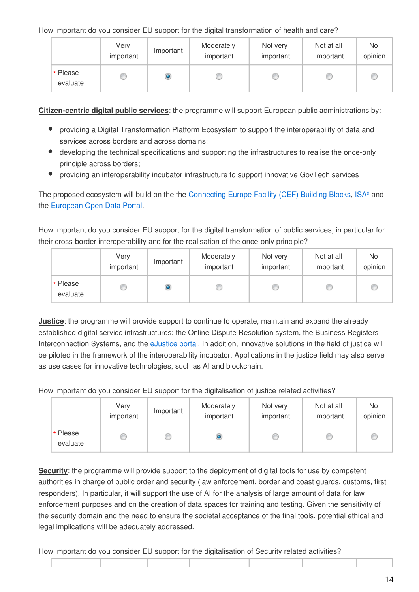How important do you consider EU support for the digital transformation of health and care?

|                      | Very<br>important | Important | Moderately<br>important | Not very<br>important | Not at all<br>important | No<br>opinion |
|----------------------|-------------------|-----------|-------------------------|-----------------------|-------------------------|---------------|
| * Please<br>evaluate |                   |           |                         |                       |                         |               |

**Citizen-centric digital public services**: the programme will support European public administrations by:

- providing a Digital Transformation Platform Ecosystem to support the interoperability of data and services across borders and across domains;
- developing the technical specifications and supporting the infrastructures to realise the once-only principle across borders;
- $\bullet$ providing an interoperability incubator infrastructure to support innovative GovTech services

The proposed ecosystem will build on the the [Connecting Europe Facility \(CEF\) Building Blocks,](https://ec.europa.eu/cefdigital/wiki/display/CEFDIGITAL/Building+Blocks) ISA<sup>2</sup> and the [European Open Data Portal.](https://data.europa.eu/euodp/en/home)

How important do you consider EU support for the digital transformation of public services, in particular for their cross-border interoperability and for the realisation of the once-only principle?

|                      | Very<br>important | Important | Moderately<br>important | Not very<br>important | Not at all<br>important | <b>No</b><br>opinion |
|----------------------|-------------------|-----------|-------------------------|-----------------------|-------------------------|----------------------|
| * Please<br>evaluate |                   |           |                         |                       |                         |                      |

**Justice**: the programme will provide support to continue to operate, maintain and expand the already established digital service infrastructures: the Online Dispute Resolution system, the Business Registers Interconnection Systems, and the [eJustice portal](https://e-justice.europa.eu/home.do?action=home&plang=en). In addition, innovative solutions in the field of justice will be piloted in the framework of the interoperability incubator. Applications in the justice field may also serve as use cases for innovative technologies, such as AI and blockchain.

How important do you consider EU support for the digitalisation of justice related activities?

|                      | Very<br>important | Important | Moderately<br>important | Not very<br>important | Not at all<br>important | No<br>opinion |
|----------------------|-------------------|-----------|-------------------------|-----------------------|-------------------------|---------------|
| * Please<br>evaluate |                   |           |                         |                       |                         |               |

**Security**: the programme will provide support to the deployment of digital tools for use by competent authorities in charge of public order and security (law enforcement, border and coast guards, customs, first responders). In particular, it will support the use of AI for the analysis of large amount of data for law enforcement purposes and on the creation of data spaces for training and testing. Given the sensitivity of the security domain and the need to ensure the societal acceptance of the final tools, potential ethical and legal implications will be adequately addressed.

How important do you consider EU support for the digitalisation of Security related activities?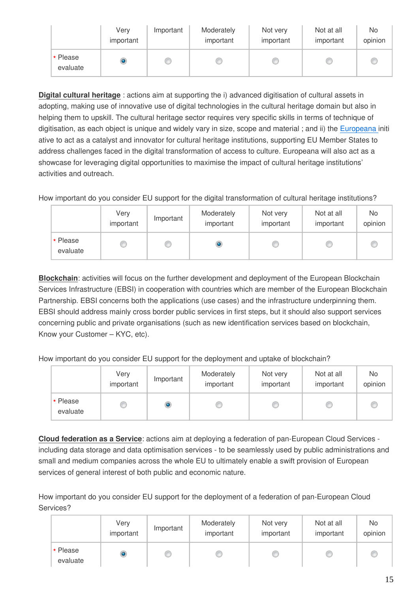|                      | Very<br>important | Important | Moderately<br>important | Not very<br>important | Not at all<br>important | No<br>opinion |
|----------------------|-------------------|-----------|-------------------------|-----------------------|-------------------------|---------------|
| * Please<br>evaluate | ۱                 |           |                         |                       |                         | Œ             |

**Digital cultural heritage** : actions aim at supporting the i) advanced digitisation of cultural assets in adopting, making use of innovative use of digital technologies in the cultural heritage domain but also in helping them to upskill. The cultural heritage sector requires very specific skills in terms of technique of digitisation, as each object is unique and widely vary in size, scope and material ; and ii) the [Europeana i](https://www.europeana.eu)niti ative to act as a catalyst and innovator for cultural heritage institutions, supporting EU Member States to address challenges faced in the digital transformation of access to culture. Europeana will also act as a showcase for leveraging digital opportunities to maximise the impact of cultural heritage institutions' activities and outreach.

How important do you consider EU support for the digital transformation of cultural heritage institutions?

|                      | Very<br>important | Important | Moderately<br>important | Not very<br>important | Not at all<br>important | No<br>opinion |
|----------------------|-------------------|-----------|-------------------------|-----------------------|-------------------------|---------------|
| * Please<br>evaluate |                   |           |                         |                       |                         |               |

**Blockchain**: activities will focus on the further development and deployment of the European Blockchain Services Infrastructure (EBSI) in cooperation with countries which are member of the European Blockchain Partnership. EBSI concerns both the applications (use cases) and the infrastructure underpinning them. EBSI should address mainly cross border public services in first steps, but it should also support services concerning public and private organisations (such as new identification services based on blockchain, Know your Customer – KYC, etc).

How important do you consider EU support for the deployment and uptake of blockchain?

|                      | Very<br>important | Important | Moderately<br>important | Not very<br>important | Not at all<br>important | No<br>opinion |
|----------------------|-------------------|-----------|-------------------------|-----------------------|-------------------------|---------------|
| * Please<br>evaluate |                   | ۱         |                         |                       |                         |               |

**Cloud federation as a Service**: actions aim at deploying a federation of pan-European Cloud Services including data storage and data optimisation services - to be seamlessly used by public administrations and small and medium companies across the whole EU to ultimately enable a swift provision of European services of general interest of both public and economic nature.

How important do you consider EU support for the deployment of a federation of pan-European Cloud Services?

|                      | Very<br>important | Important | Moderately<br>important | Not very<br>important | Not at all<br>important | No<br>opinion |
|----------------------|-------------------|-----------|-------------------------|-----------------------|-------------------------|---------------|
| * Please<br>evaluate | $\bullet$         |           |                         |                       |                         |               |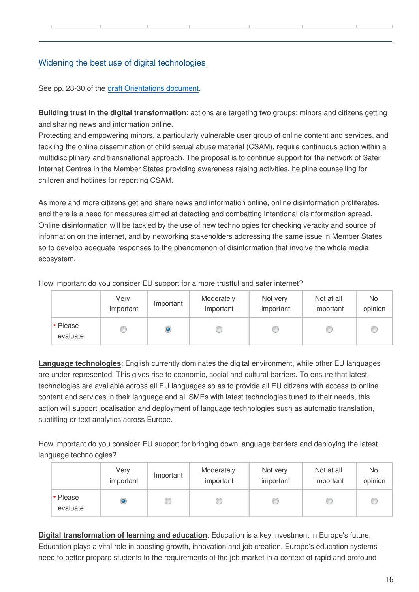### Widening the best use of digital technologies

See pp. 28-30 of the [draft Orientations document.](https://ec.europa.eu/newsroom/dae/document.cfm?doc_id=61102)

**Building trust in the digital transformation**: actions are targeting two groups: minors and citizens getting and sharing news and information online.

Protecting and empowering minors, a particularly vulnerable user group of online content and services, and tackling the online dissemination of child sexual abuse material (CSAM), require continuous action within a multidisciplinary and transnational approach. The proposal is to continue support for the network of Safer Internet Centres in the Member States providing awareness raising activities, helpline counselling for children and hotlines for reporting CSAM.

As more and more citizens get and share news and information online, online disinformation proliferates, and there is a need for measures aimed at detecting and combatting intentional disinformation spread. Online disinformation will be tackled by the use of new technologies for checking veracity and source of information on the internet, and by networking stakeholders addressing the same issue in Member States so to develop adequate responses to the phenomenon of disinformation that involve the whole media ecosystem.

How important do you consider EU support for a more trustful and safer internet?

|                      | Very<br>important | Important | Moderately<br>important | Not very<br>important | Not at all<br>important | N <sub>o</sub><br>opinion |
|----------------------|-------------------|-----------|-------------------------|-----------------------|-------------------------|---------------------------|
| * Please<br>evaluate |                   | $\bullet$ |                         |                       |                         |                           |

**Language technologies**: English currently dominates the digital environment, while other EU languages are under-represented. This gives rise to economic, social and cultural barriers. To ensure that latest technologies are available across all EU languages so as to provide all EU citizens with access to online content and services in their language and all SMEs with latest technologies tuned to their needs, this action will support localisation and deployment of language technologies such as automatic translation, subtitling or text analytics across Europe.

How important do you consider EU support for bringing down language barriers and deploying the latest language technologies?

|                      | Very<br>important | Important | Moderately<br>important | Not very<br>important | Not at all<br>important | No.<br>opinion |
|----------------------|-------------------|-----------|-------------------------|-----------------------|-------------------------|----------------|
| * Please<br>evaluate | ۱                 |           |                         |                       |                         |                |

**Digital transformation of learning and education**: Education is a key investment in Europe's future. Education plays a vital role in boosting growth, innovation and job creation. Europe's education systems need to better prepare students to the requirements of the job market in a context of rapid and profound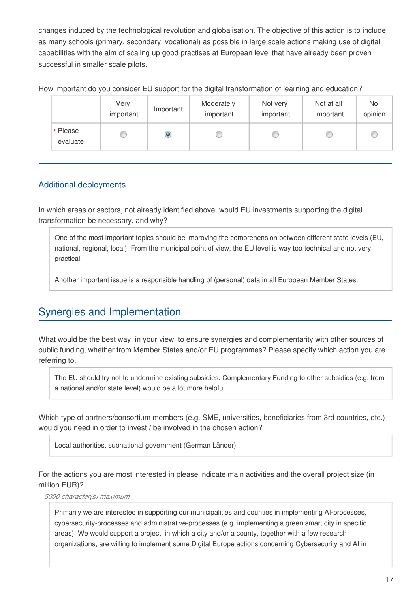changes induced by the technological revolution and globalisation. The objective of this action is to include as many schools (primary, secondary, vocational) as possible in large scale actions making use of digital capabilities with the aim of scaling up good practises at European level that have already been proven successful in smaller scale pilots.

How important do you consider EU support for the digital transformation of learning and education?

|                      | Very<br>important | Important | Moderately<br>important | Not very<br>important | Not at all<br>important | <b>No</b><br>opinion |
|----------------------|-------------------|-----------|-------------------------|-----------------------|-------------------------|----------------------|
| * Please<br>evaluate |                   | ۱         |                         |                       |                         |                      |

### Additional deployments

In which areas or sectors, not already identified above, would EU investments supporting the digital transformation be necessary, and why?

One of the most important topics should be improving the comprehension between different state levels (EU, national, regional, local). From the municipal point of view, the EU level is way too technical and not very practical.

Another important issue is a responsible handling of (personal) data in all European Member States.

# Synergies and Implementation

What would be the best way, in your view, to ensure synergies and complementarity with other sources of public funding, whether from Member States and/or EU programmes? Please specify which action you are referring to.

The EU should try not to undermine existing subsidies. Complementary Funding to other subsidies (e.g. from a national and/or state level) would be a lot more helpful.

Which type of partners/consortium members (e.g. SME, universities, beneficiaries from 3rd countries, etc.) would you need in order to invest / be involved in the chosen action?

Local authorities, subnational government (German Länder)

For the actions you are most interested in please indicate main activities and the overall project size (in million EUR)?

*5000 character(s) maximum*

Primarily we are interested in supporting our municipalities and counties in implementing AI-processes, cybersecurity-processes and administrative-processes (e.g. implementing a green smart city in specific areas). We would support a project, in which a city and/or a county, together with a few research organizations, are willing to implement some Digital Europe actions concerning Cybersecurity and AI in